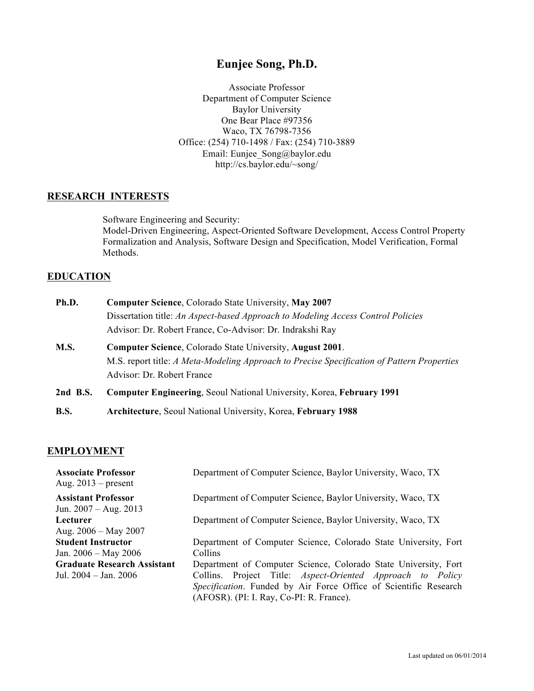# **Eunjee Song, Ph.D.**

Associate Professor Department of Computer Science Baylor University One Bear Place #97356 Waco, TX 76798-7356 Office: (254) 710-1498 / Fax: (254) 710-3889 Email: Eunjee\_Song@baylor.edu http://cs.baylor.edu/~song/

## **RESEARCH INTERESTS**

Software Engineering and Security: Model-Driven Engineering, Aspect-Oriented Software Development, Access Control Property Formalization and Analysis, Software Design and Specification, Model Verification, Formal Methods.

## **EDUCATION**

| Ph.D.      | <b>Computer Science, Colorado State University, May 2007</b>                               |
|------------|--------------------------------------------------------------------------------------------|
|            | Dissertation title: An Aspect-based Approach to Modeling Access Control Policies           |
|            | Advisor: Dr. Robert France, Co-Advisor: Dr. Indrakshi Ray                                  |
| M.S.       | <b>Computer Science, Colorado State University, August 2001.</b>                           |
|            | M.S. report title: A Meta-Modeling Approach to Precise Specification of Pattern Properties |
|            | Advisor: Dr. Robert France                                                                 |
| $2nd$ B.S. | Computer Engineering, Seoul National University, Korea, February 1991                      |

**B.S. Architecture**, Seoul National University, Korea, **February 1988**

## **EMPLOYMENT**

| <b>Associate Professor</b><br>Aug. $2013$ – present   | Department of Computer Science, Baylor University, Waco, TX       |
|-------------------------------------------------------|-------------------------------------------------------------------|
| <b>Assistant Professor</b><br>Jun. $2007 - Aug. 2013$ | Department of Computer Science, Baylor University, Waco, TX       |
| Lecturer                                              | Department of Computer Science, Baylor University, Waco, TX       |
| Aug. $2006 - May 2007$                                |                                                                   |
| <b>Student Instructor</b>                             | Department of Computer Science, Colorado State University, Fort   |
| Jan. 2006 – May 2006                                  | Collins                                                           |
| <b>Graduate Research Assistant</b>                    | Department of Computer Science, Colorado State University, Fort   |
| Jul. 2004 – Jan. 2006                                 | Collins. Project Title: <i>Aspect-Oriented Approach to Policy</i> |
|                                                       | Specification. Funded by Air Force Office of Scientific Research  |
|                                                       | (AFOSR). (PI: I. Ray, Co-PI: R. France).                          |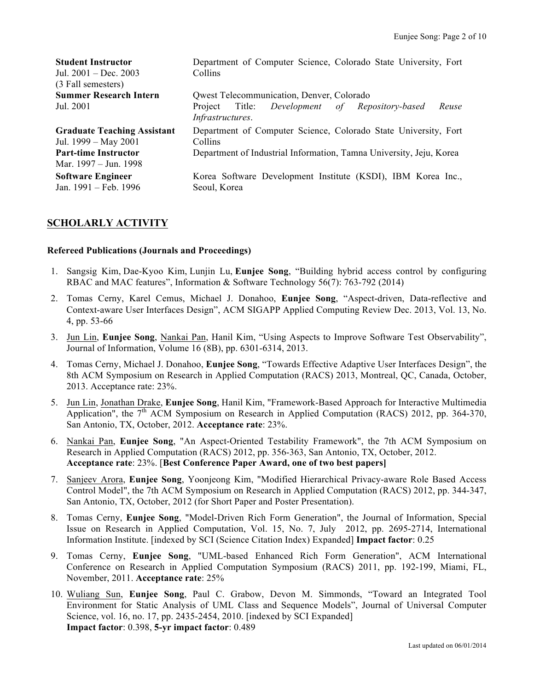| <b>Student Instructor</b><br>Jul. $2001 - Dec. 2003$<br>(3 Fall semesters) | Department of Computer Science, Colorado State University, Fort<br>Collins               |
|----------------------------------------------------------------------------|------------------------------------------------------------------------------------------|
| <b>Summer Research Intern</b>                                              | Qwest Telecommunication, Denver, Colorado                                                |
| Jul. 2001                                                                  | Title: <i>Development</i><br>Project<br>of Repository-based<br>Reuse<br>Infrastructures. |
| <b>Graduate Teaching Assistant</b><br>Jul. 1999 – May 2001                 | Department of Computer Science, Colorado State University, Fort<br>Collins               |
| <b>Part-time Instructor</b><br>Mar. 1997 – Jun. 1998                       | Department of Industrial Information, Tamna University, Jeju, Korea                      |
| <b>Software Engineer</b><br>Jan. 1991 – Feb. 1996                          | Korea Software Development Institute (KSDI), IBM Korea Inc.,<br>Seoul, Korea             |

# **SCHOLARLY ACTIVITY**

#### **Refereed Publications (Journals and Proceedings)**

- 1. Sangsig Kim, Dae-Kyoo Kim, Lunjin Lu, **Eunjee Song**, "Building hybrid access control by configuring RBAC and MAC features", Information & Software Technology 56(7): 763-792 (2014)
- 2. Tomas Cerny, Karel Cemus, Michael J. Donahoo, **Eunjee Song**, "Aspect-driven, Data-reflective and Context-aware User Interfaces Design", ACM SIGAPP Applied Computing Review Dec. 2013, Vol. 13, No. 4, pp. 53-66
- 3. Jun Lin, **Eunjee Song**, Nankai Pan, Hanil Kim, "Using Aspects to Improve Software Test Observability", Journal of Information, Volume 16 (8B), pp. 6301-6314, 2013.
- 4. Tomas Cerny, Michael J. Donahoo, **Eunjee Song**, "Towards Effective Adaptive User Interfaces Design", the 8th ACM Symposium on Research in Applied Computation (RACS) 2013, Montreal, QC, Canada, October, 2013. Acceptance rate: 23%.
- 5. Jun Lin, Jonathan Drake, **Eunjee Song**, Hanil Kim, "Framework-Based Approach for Interactive Multimedia Application", the  $7<sup>th</sup>$  ACM Symposium on Research in Applied Computation (RACS) 2012, pp. 364-370, San Antonio, TX, October, 2012. **Acceptance rate**: 23%.
- 6. Nankai Pan, **Eunjee Song**, "An Aspect-Oriented Testability Framework", the 7th ACM Symposium on Research in Applied Computation (RACS) 2012, pp. 356-363, San Antonio, TX, October, 2012. **Acceptance rate**: 23%. [**Best Conference Paper Award, one of two best papers]**
- 7. Sanjeev Arora, **Eunjee Song**, Yoonjeong Kim, "Modified Hierarchical Privacy-aware Role Based Access Control Model", the 7th ACM Symposium on Research in Applied Computation (RACS) 2012, pp. 344-347, San Antonio, TX, October, 2012 (for Short Paper and Poster Presentation).
- 8. Tomas Cerny, **Eunjee Song**, "Model-Driven Rich Form Generation", the Journal of Information, Special Issue on Research in Applied Computation, Vol. 15, No. 7, July 2012, pp. 2695-2714, International Information Institute. [indexed by SCI (Science Citation Index) Expanded] **Impact factor**: 0.25
- 9. Tomas Cerny, **Eunjee Song**, "UML-based Enhanced Rich Form Generation", ACM International Conference on Research in Applied Computation Symposium (RACS) 2011, pp. 192-199, Miami, FL, November, 2011. **Acceptance rate**: 25%
- 10. Wuliang Sun, **Eunjee Song**, Paul C. Grabow, Devon M. Simmonds, "Toward an Integrated Tool Environment for Static Analysis of UML Class and Sequence Models", Journal of Universal Computer Science, vol. 16, no. 17, pp. 2435-2454, 2010. [indexed by SCI Expanded] **Impact factor**: 0.398, **5-yr impact factor**: 0.489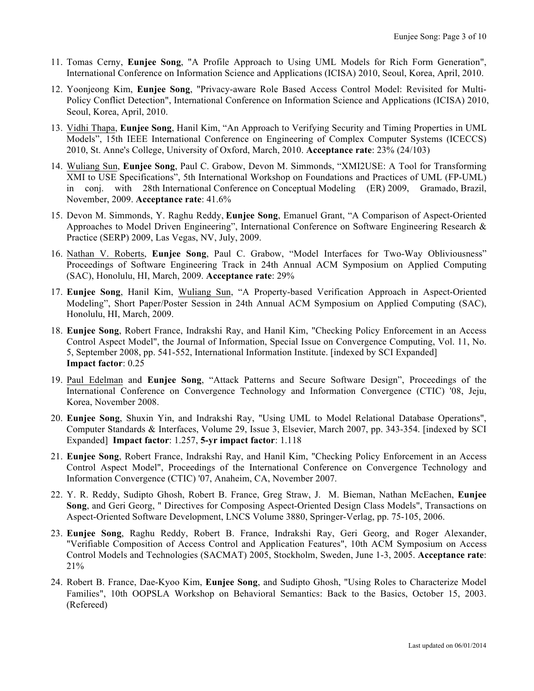- 11. Tomas Cerny, **Eunjee Song**, "A Profile Approach to Using UML Models for Rich Form Generation", International Conference on Information Science and Applications (ICISA) 2010, Seoul, Korea, April, 2010.
- 12. Yoonjeong Kim, **Eunjee Song**, "Privacy-aware Role Based Access Control Model: Revisited for Multi-Policy Conflict Detection", International Conference on Information Science and Applications (ICISA) 2010, Seoul, Korea, April, 2010.
- 13. Vidhi Thapa, **Eunjee Song**, Hanil Kim, "An Approach to Verifying Security and Timing Properties in UML Models", 15th IEEE International Conference on Engineering of Complex Computer Systems (ICECCS) 2010, St. Anne's College, University of Oxford, March, 2010. **Acceptance rate**: 23% (24/103)
- 14. Wuliang Sun, **Eunjee Song**, Paul C. Grabow, Devon M. Simmonds, "XMI2USE: A Tool for Transforming XMI to USE Specifications", 5th International Workshop on Foundations and Practices of UML (FP-UML) in conj. with 28th International Conference on Conceptual Modeling (ER) 2009, Gramado, Brazil, November, 2009. **Acceptance rate**: 41.6%
- 15. Devon M. Simmonds, Y. Raghu Reddy, **Eunjee Song**, Emanuel Grant, "A Comparison of Aspect-Oriented Approaches to Model Driven Engineering", International Conference on Software Engineering Research & Practice (SERP) 2009, Las Vegas, NV, July, 2009.
- 16. Nathan V. Roberts, **Eunjee Song**, Paul C. Grabow, "Model Interfaces for Two-Way Obliviousness" Proceedings of Software Engineering Track in 24th Annual ACM Symposium on Applied Computing (SAC), Honolulu, HI, March, 2009. **Acceptance rate**: 29%
- 17. **Eunjee Song**, Hanil Kim, Wuliang Sun, "A Property-based Verification Approach in Aspect-Oriented Modeling", Short Paper/Poster Session in 24th Annual ACM Symposium on Applied Computing (SAC), Honolulu, HI, March, 2009.
- 18. **Eunjee Song**, Robert France, Indrakshi Ray, and Hanil Kim, "Checking Policy Enforcement in an Access Control Aspect Model", the Journal of Information, Special Issue on Convergence Computing, Vol. 11, No. 5, September 2008, pp. 541-552, International Information Institute. [indexed by SCI Expanded] **Impact factor**: 0.25
- 19. Paul Edelman and **Eunjee Song**, "Attack Patterns and Secure Software Design", Proceedings of the International Conference on Convergence Technology and Information Convergence (CTIC) '08, Jeju, Korea, November 2008.
- 20. **Eunjee Song**, Shuxin Yin, and Indrakshi Ray, "Using UML to Model Relational Database Operations", Computer Standards & Interfaces, Volume 29, Issue 3, Elsevier, March 2007, pp. 343-354. [indexed by SCI Expanded] **Impact factor**: 1.257, **5-yr impact factor**: 1.118
- 21. **Eunjee Song**, Robert France, Indrakshi Ray, and Hanil Kim, "Checking Policy Enforcement in an Access Control Aspect Model", Proceedings of the International Conference on Convergence Technology and Information Convergence (CTIC) '07, Anaheim, CA, November 2007.
- 22. Y. R. Reddy, Sudipto Ghosh, Robert B. France, Greg Straw, J. M. Bieman, Nathan McEachen, **Eunjee Song**, and Geri Georg, " Directives for Composing Aspect-Oriented Design Class Models", Transactions on Aspect-Oriented Software Development, LNCS Volume 3880, Springer-Verlag, pp. 75-105, 2006.
- 23. **Eunjee Song**, Raghu Reddy, Robert B. France, Indrakshi Ray, Geri Georg, and Roger Alexander, "Verifiable Composition of Access Control and Application Features", 10th ACM Symposium on Access Control Models and Technologies (SACMAT) 2005, Stockholm, Sweden, June 1-3, 2005. **Acceptance rate**: 21%
- 24. Robert B. France, Dae-Kyoo Kim, **Eunjee Song**, and Sudipto Ghosh, "Using Roles to Characterize Model Families", 10th OOPSLA Workshop on Behavioral Semantics: Back to the Basics, October 15, 2003. (Refereed)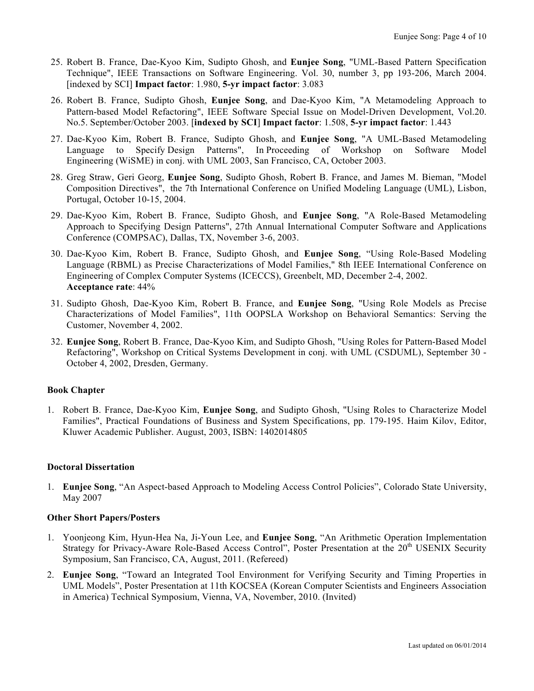- 25. Robert B. France, Dae-Kyoo Kim, Sudipto Ghosh, and **Eunjee Song**, "UML-Based Pattern Specification Technique", IEEE Transactions on Software Engineering. Vol. 30, number 3, pp 193-206, March 2004. [indexed by SCI] **Impact factor**: 1.980, **5-yr impact factor**: 3.083
- 26. Robert B. France, Sudipto Ghosh, **Eunjee Song**, and Dae-Kyoo Kim, "A Metamodeling Approach to Pattern-based Model Refactoring", IEEE Software Special Issue on Model-Driven Development, Vol.20. No.5. September/October 2003. [**indexed by SCI**] **Impact factor**: 1.508, **5-yr impact factor**: 1.443
- 27. Dae-Kyoo Kim, Robert B. France, Sudipto Ghosh, and **Eunjee Song**, "A UML-Based Metamodeling Language to Specify Design Patterns", In Proceeding of Workshop on Software Model Engineering (WiSME) in conj. with UML 2003, San Francisco, CA, October 2003.
- 28. Greg Straw, Geri Georg, **Eunjee Song**, Sudipto Ghosh, Robert B. France, and James M. Bieman, "Model Composition Directives", the 7th International Conference on Unified Modeling Language (UML), Lisbon, Portugal, October 10-15, 2004.
- 29. Dae-Kyoo Kim, Robert B. France, Sudipto Ghosh, and **Eunjee Song**, "A Role-Based Metamodeling Approach to Specifying Design Patterns", 27th Annual International Computer Software and Applications Conference (COMPSAC), Dallas, TX, November 3-6, 2003.
- 30. Dae-Kyoo Kim, Robert B. France, Sudipto Ghosh, and **Eunjee Song**, "Using Role-Based Modeling Language (RBML) as Precise Characterizations of Model Families," 8th IEEE International Conference on Engineering of Complex Computer Systems (ICECCS), Greenbelt, MD, December 2-4, 2002. **Acceptance rate**: 44%
- 31. Sudipto Ghosh, Dae-Kyoo Kim, Robert B. France, and **Eunjee Song**, "Using Role Models as Precise Characterizations of Model Families", 11th OOPSLA Workshop on Behavioral Semantics: Serving the Customer, November 4, 2002.
- 32. **Eunjee Song**, Robert B. France, Dae-Kyoo Kim, and Sudipto Ghosh, "Using Roles for Pattern-Based Model Refactoring", Workshop on Critical Systems Development in conj. with UML (CSDUML), September 30 - October 4, 2002, Dresden, Germany.

## **Book Chapter**

1. Robert B. France, Dae-Kyoo Kim, **Eunjee Song**, and Sudipto Ghosh, "Using Roles to Characterize Model Families", Practical Foundations of Business and System Specifications, pp. 179-195. Haim Kilov, Editor, Kluwer Academic Publisher. August, 2003, ISBN: 1402014805

## **Doctoral Dissertation**

1. **Eunjee Song**, "An Aspect-based Approach to Modeling Access Control Policies", Colorado State University, May 2007

## **Other Short Papers/Posters**

- 1. Yoonjeong Kim, Hyun-Hea Na, Ji-Youn Lee, and **Eunjee Song**, "An Arithmetic Operation Implementation Strategy for Privacy-Aware Role-Based Access Control", Poster Presentation at the 20<sup>th</sup> USENIX Security Symposium, San Francisco, CA, August, 2011. (Refereed)
- 2. **Eunjee Song**, "Toward an Integrated Tool Environment for Verifying Security and Timing Properties in UML Models", Poster Presentation at 11th KOCSEA (Korean Computer Scientists and Engineers Association in America) Technical Symposium, Vienna, VA, November, 2010. (Invited)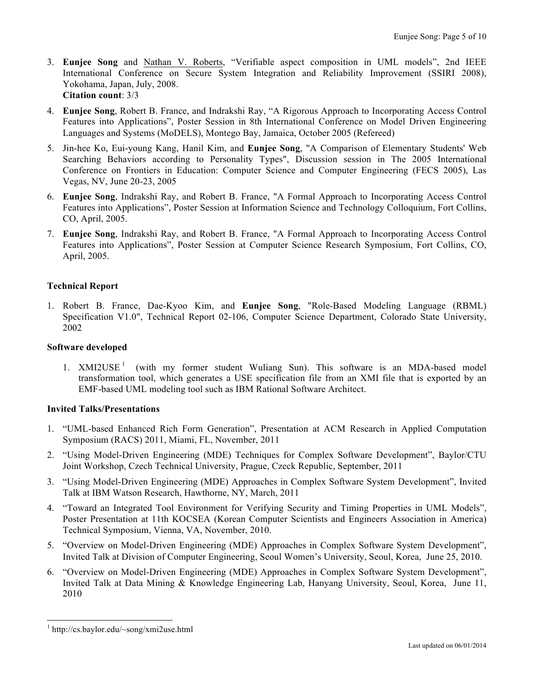- 3. **Eunjee Song** and Nathan V. Roberts, "Verifiable aspect composition in UML models", 2nd IEEE International Conference on Secure System Integration and Reliability Improvement (SSIRI 2008), Yokohama, Japan, July, 2008. **Citation count**: 3/3
- 4. **Eunjee Song**, Robert B. France, and Indrakshi Ray, "A Rigorous Approach to Incorporating Access Control Features into Applications", Poster Session in 8th International Conference on Model Driven Engineering Languages and Systems (MoDELS), Montego Bay, Jamaica, October 2005 (Refereed)
- 5. Jin-hee Ko, Eui-young Kang, Hanil Kim, and **Eunjee Song**, "A Comparison of Elementary Students' Web Searching Behaviors according to Personality Types", Discussion session in The 2005 International Conference on Frontiers in Education: Computer Science and Computer Engineering (FECS 2005), Las Vegas, NV, June 20-23, 2005
- 6. **Eunjee Song**, Indrakshi Ray, and Robert B. France, "A Formal Approach to Incorporating Access Control Features into Applications", Poster Session at Information Science and Technology Colloquium, Fort Collins, CO, April, 2005.
- 7. **Eunjee Song**, Indrakshi Ray, and Robert B. France, "A Formal Approach to Incorporating Access Control Features into Applications", Poster Session at Computer Science Research Symposium, Fort Collins, CO, April, 2005.

## **Technical Report**

1. Robert B. France, Dae-Kyoo Kim, and **Eunjee Song**, "Role-Based Modeling Language (RBML) Specification V1.0", Technical Report 02-106, Computer Science Department, Colorado State University, 2002

## **Software developed**

1.  $XMLUSE<sup>1</sup>$  (with my former student Wuliang Sun). This software is an MDA-based model transformation tool, which generates a USE specification file from an XMI file that is exported by an EMF-based UML modeling tool such as IBM Rational Software Architect.

## **Invited Talks/Presentations**

- 1. "UML-based Enhanced Rich Form Generation", Presentation at ACM Research in Applied Computation Symposium (RACS) 2011, Miami, FL, November, 2011
- 2. "Using Model-Driven Engineering (MDE) Techniques for Complex Software Development", Baylor/CTU Joint Workshop, Czech Technical University, Prague, Czeck Republic, September, 2011
- 3. "Using Model-Driven Engineering (MDE) Approaches in Complex Software System Development", Invited Talk at IBM Watson Research, Hawthorne, NY, March, 2011
- 4. "Toward an Integrated Tool Environment for Verifying Security and Timing Properties in UML Models", Poster Presentation at 11th KOCSEA (Korean Computer Scientists and Engineers Association in America) Technical Symposium, Vienna, VA, November, 2010.
- 5. "Overview on Model-Driven Engineering (MDE) Approaches in Complex Software System Development", Invited Talk at Division of Computer Engineering, Seoul Women's University, Seoul, Korea, June 25, 2010.
- 6. "Overview on Model-Driven Engineering (MDE) Approaches in Complex Software System Development", Invited Talk at Data Mining & Knowledge Engineering Lab, Hanyang University, Seoul, Korea, June 11, 2010

 <sup>1</sup> http://cs.baylor.edu/~song/xmi2use.html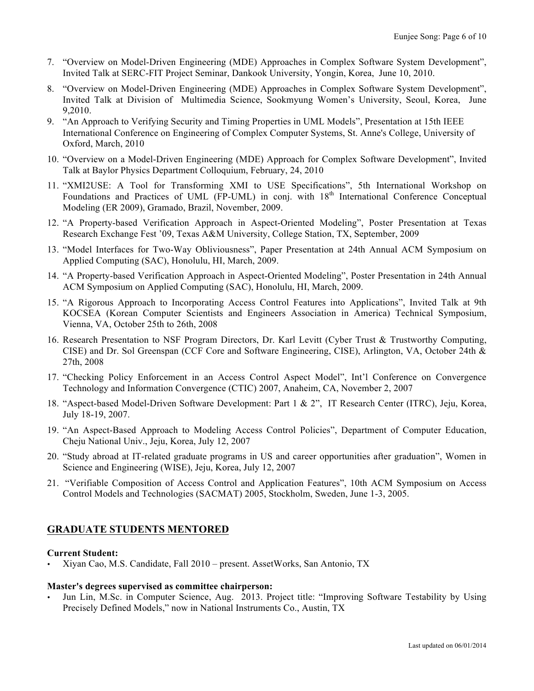- 7. "Overview on Model-Driven Engineering (MDE) Approaches in Complex Software System Development", Invited Talk at SERC-FIT Project Seminar, Dankook University, Yongin, Korea, June 10, 2010.
- 8. "Overview on Model-Driven Engineering (MDE) Approaches in Complex Software System Development", Invited Talk at Division of Multimedia Science, Sookmyung Women's University, Seoul, Korea, June 9,2010.
- 9. "An Approach to Verifying Security and Timing Properties in UML Models", Presentation at 15th IEEE International Conference on Engineering of Complex Computer Systems, St. Anne's College, University of Oxford, March, 2010
- 10. "Overview on a Model-Driven Engineering (MDE) Approach for Complex Software Development", Invited Talk at Baylor Physics Department Colloquium, February, 24, 2010
- 11. "XMI2USE: A Tool for Transforming XMI to USE Specifications", 5th International Workshop on Foundations and Practices of UML (FP-UML) in conj. with 18<sup>th</sup> International Conference Conceptual Modeling (ER 2009), Gramado, Brazil, November, 2009.
- 12. "A Property-based Verification Approach in Aspect-Oriented Modeling", Poster Presentation at Texas Research Exchange Fest '09, Texas A&M University, College Station, TX, September, 2009
- 13. "Model Interfaces for Two-Way Obliviousness", Paper Presentation at 24th Annual ACM Symposium on Applied Computing (SAC), Honolulu, HI, March, 2009.
- 14. "A Property-based Verification Approach in Aspect-Oriented Modeling", Poster Presentation in 24th Annual ACM Symposium on Applied Computing (SAC), Honolulu, HI, March, 2009.
- 15. "A Rigorous Approach to Incorporating Access Control Features into Applications", Invited Talk at 9th KOCSEA (Korean Computer Scientists and Engineers Association in America) Technical Symposium, Vienna, VA, October 25th to 26th, 2008
- 16. Research Presentation to NSF Program Directors, Dr. Karl Levitt (Cyber Trust & Trustworthy Computing, CISE) and Dr. Sol Greenspan (CCF Core and Software Engineering, CISE), Arlington, VA, October 24th & 27th, 2008
- 17. "Checking Policy Enforcement in an Access Control Aspect Model", Int'l Conference on Convergence Technology and Information Convergence (CTIC) 2007, Anaheim, CA, November 2, 2007
- 18. "Aspect-based Model-Driven Software Development: Part 1 & 2", IT Research Center (ITRC), Jeju, Korea, July 18-19, 2007.
- 19. "An Aspect-Based Approach to Modeling Access Control Policies", Department of Computer Education, Cheju National Univ., Jeju, Korea, July 12, 2007
- 20. "Study abroad at IT-related graduate programs in US and career opportunities after graduation", Women in Science and Engineering (WISE), Jeju, Korea, July 12, 2007
- 21. "Verifiable Composition of Access Control and Application Features", 10th ACM Symposium on Access Control Models and Technologies (SACMAT) 2005, Stockholm, Sweden, June 1-3, 2005.

# **GRADUATE STUDENTS MENTORED**

## **Current Student:**

• Xiyan Cao, M.S. Candidate, Fall 2010 – present. AssetWorks, San Antonio, TX

## **Master's degrees supervised as committee chairperson:**

• Jun Lin, M.Sc. in Computer Science, Aug. 2013. Project title: "Improving Software Testability by Using Precisely Defined Models," now in National Instruments Co., Austin, TX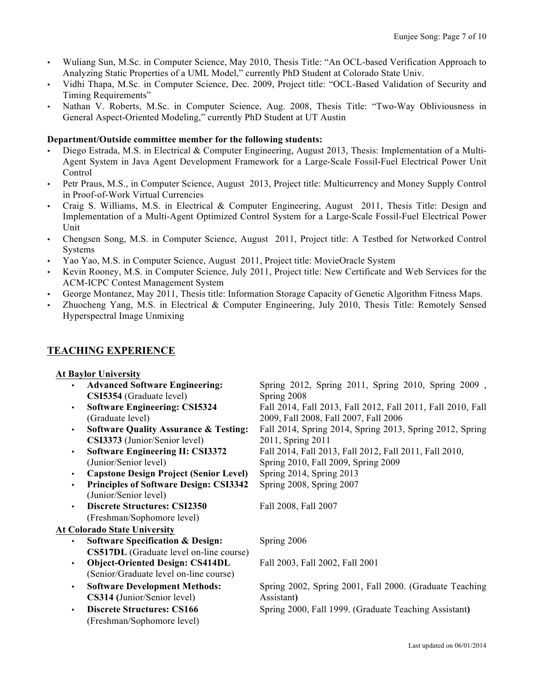- Wuliang Sun, M.Sc. in Computer Science, May 2010, Thesis Title: "An OCL-based Verification Approach to Analyzing Static Properties of a UML Model," currently PhD Student at Colorado State Univ.
- Vidhi Thapa, M.Sc. in Computer Science, Dec. 2009, Project title: "OCL-Based Validation of Security and Timing Requirements"
- Nathan V. Roberts, M.Sc. in Computer Science, Aug. 2008, Thesis Title: "Two-Way Obliviousness in General Aspect-Oriented Modeling," currently PhD Student at UT Austin

#### **Department/Outside committee member for the following students:**

- Diego Estrada, M.S. in Electrical & Computer Engineering, August 2013, Thesis: Implementation of a Multi-Agent System in Java Agent Development Framework for a Large-Scale Fossil-Fuel Electrical Power Unit Control
- Petr Praus, M.S., in Computer Science, August 2013, Project title: Multicurrency and Money Supply Control in Proof-of-Work Virtual Currencies
- Craig S. Williams, M.S. in Electrical & Computer Engineering, August 2011, Thesis Title: Design and Implementation of a Multi-Agent Optimized Control System for a Large-Scale Fossil-Fuel Electrical Power Unit
- Chengsen Song, M.S. in Computer Science, August 2011, Project title: A Testbed for Networked Control Systems
- Yao Yao, M.S. in Computer Science, August 2011, Project title: MovieOracle System
- Kevin Rooney, M.S. in Computer Science, July 2011, Project title: New Certificate and Web Services for the ACM-ICPC Contest Management System
- George Montanez, May 2011, Thesis title: Information Storage Capacity of Genetic Algorithm Fitness Maps.
- Zhuocheng Yang, M.S. in Electrical & Computer Engineering, July 2010, Thesis Title: Remotely Sensed Hyperspectral Image Unmixing

## **TEACHING EXPERIENCE**

## **At Baylor University**

• **Advanced Software Engineering: CSI5354** (Graduate level) Spring 2012, Spring 2011, Spring 2010, Spring 2009 , Spring 2008 • **Software Engineering: CSI5324** (Graduate level) Fall 2014, Fall 2013, Fall 2012, Fall 2011, Fall 2010, Fall 2009, Fall 2008, Fall 2007, Fall 2006 • **Software Quality Assurance & Testing: CSI3373** (Junior/Senior level) Fall 2014, Spring 2014, Spring 2013, Spring 2012, Spring 2011, Spring 2011 • **Software Engineering II: CSI3372** (Junior/Senior level) Fall 2014, Fall 2013, Fall 2012, Fall 2011, Fall 2010, Spring 2010, Fall 2009, Spring 2009 • **Capstone Design Project (Senior Level)** • **Principles of Software Design: CSI3342**  (Junior/Senior level) Spring 2014, Spring 2013 Spring 2008, Spring 2007 • **Discrete Structures: CSI2350**  (Freshman/Sophomore level) Fall 2008, Fall 2007 **At Colorado State University** • **Software Specification & Design: CS517DL** (Graduate level on-line course) Spring 2006 • **Object-Oriented Design: CS414DL**  (Senior/Graduate level on-line course) Fall 2003, Fall 2002, Fall 2001 • **Software Development Methods: CS314 (**Junior/Senior level) Spring 2002, Spring 2001, Fall 2000. (Graduate Teaching Assistant**)** • **Discrete Structures: CS166**  (Freshman/Sophomore level) Spring 2000, Fall 1999. (Graduate Teaching Assistant**)**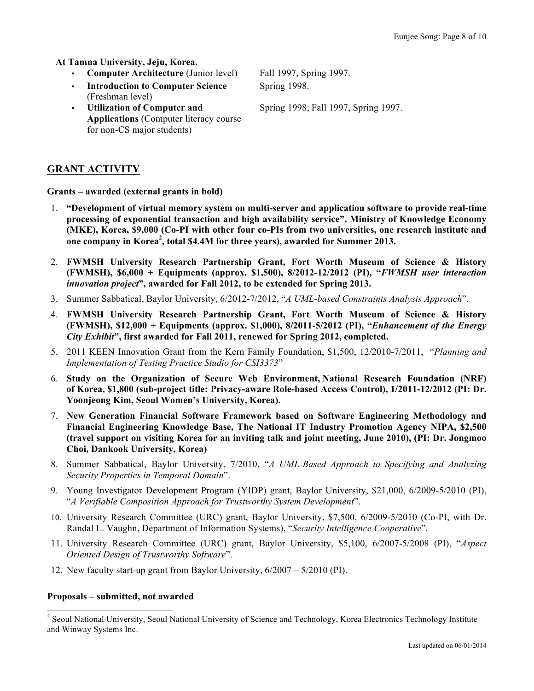**At Tamna University, Jeju, Korea.**

- **Computer Architecture** (Junior level) Fall 1997, Spring 1997.
- **Introduction to Computer Science**  (Freshman level)
- **Utilization of Computer and Applications** (Computer literacy course for non-CS major students)

Spring 1998.

Spring 1998, Fall 1997, Spring 1997.

# **GRANT ACTIVITY**

**Grants – awarded (external grants in bold)**

- 1. **"Development of virtual memory system on multi-server and application software to provide real-time processing of exponential transaction and high availability service", Ministry of Knowledge Economy (MKE), Korea, \$9,000 (Co-PI with other four co-PIs from two universities, one research institute and one company in Korea<sup>2</sup> , total \$4.4M for three years), awarded for Summer 2013.**
- 2. **FWMSH University Research Partnership Grant, Fort Worth Museum of Science & History (FWMSH), \$6,000 + Equipments (approx. \$1,500), 8/2012-12/2012 (PI), "***FWMSH user interaction innovation project***", awarded for Fall 2012, to be extended for Spring 2013.**
- 3. Summer Sabbatical, Baylor University, 6/2012-7/2012, "*A UML-based Constraints Analysis Approach*".
- 4. **FWMSH University Research Partnership Grant, Fort Worth Museum of Science & History (FWMSH), \$12,000 + Equipments (approx. \$1,000), 8/2011-5/2012 (PI), "***Enhancement of the Energy City Exhibit***", first awarded for Fall 2011, renewed for Spring 2012, completed.**
- 5. 2011 KEEN Innovation Grant from the Kern Family Foundation, \$1,500, 12/2010-7/2011, "*Planning and Implementation of Testing Practice Studio for CSI3373*"
- 6. **Study on the Organization of Secure Web Environment, National Research Foundation (NRF) of Korea, \$1,800 (sub-project title: Privacy-aware Role-based Access Control), 1/2011-12/2012 (PI: Dr. Yoonjeong Kim, Seoul Women's University, Korea).**
- 7. **New Generation Financial Software Framework based on Software Engineering Methodology and Financial Engineering Knowledge Base, The National IT Industry Promotion Agency NIPA, \$2,500 (travel support on visiting Korea for an inviting talk and joint meeting, June 2010), (PI: Dr. Jongmoo Choi, Dankook University, Korea)**
- 8. Summer Sabbatical, Baylor University, 7/2010, "*A UML-Based Approach to Specifying and Analyzing Security Properties in Temporal Domain*".
- 9. Young Investigator Development Program (YIDP) grant, Baylor University, \$21,000, 6/2009-5/2010 (PI), "*A Verifiable Composition Approach for Trustworthy System Development*".
- 10. University Research Committee (URC) grant, Baylor University, \$7,500, 6/2009-5/2010 (Co-PI, with Dr. Randal L. Vaughn, Department of Information Systems), "*Security Intelligence Cooperative*".
- 11. University Research Committee (URC) grant, Baylor University, \$5,100, 6/2007-5/2008 (PI), "*Aspect Oriented Design of Trustworthy Software*".
- 12. New faculty start-up grant from Baylor University, 6/2007 5/2010 (PI).

## **Proposals – submitted, not awarded**

<sup>&</sup>lt;sup>2</sup> Seoul National University, Seoul National University of Science and Technology, Korea Electronics Technology Institute and Winway Systems Inc.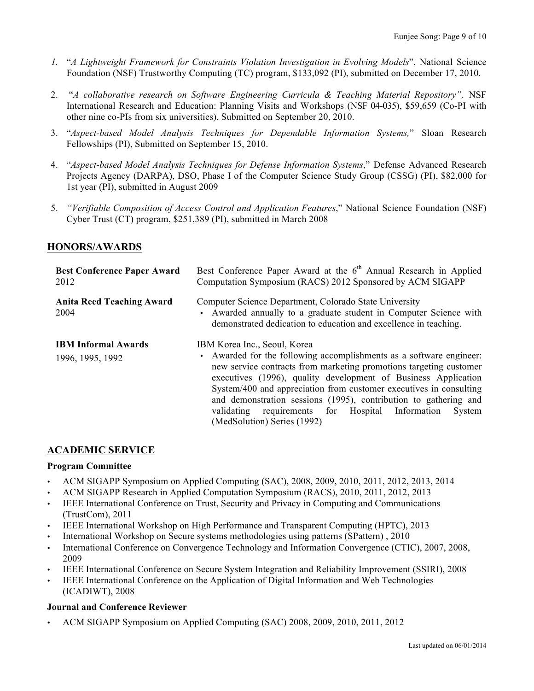- *1.* "*A Lightweight Framework for Constraints Violation Investigation in Evolving Models*", National Science Foundation (NSF) Trustworthy Computing (TC) program, \$133,092 (PI), submitted on December 17, 2010.
- 2. "*A collaborative research on Software Engineering Curricula & Teaching Material Repository",* NSF International Research and Education: Planning Visits and Workshops (NSF 04-035), \$59,659 (Co-PI with other nine co-PIs from six universities), Submitted on September 20, 2010.
- 3. "*Aspect-based Model Analysis Techniques for Dependable Information Systems,*" Sloan Research Fellowships (PI), Submitted on September 15, 2010.
- 4. "*Aspect-based Model Analysis Techniques for Defense Information Systems*," Defense Advanced Research Projects Agency (DARPA), DSO, Phase I of the Computer Science Study Group (CSSG) (PI), \$82,000 for 1st year (PI), submitted in August 2009
- 5. *"Verifiable Composition of Access Control and Application Features*," National Science Foundation (NSF) Cyber Trust (CT) program, \$251,389 (PI), submitted in March 2008

## **HONORS/AWARDS**

| <b>Best Conference Paper Award</b><br>2012     | Best Conference Paper Award at the 6 <sup>th</sup> Annual Research in Applied<br>Computation Symposium (RACS) 2012 Sponsored by ACM SIGAPP                                                                                                                                                                                                                                                                                                                                            |
|------------------------------------------------|---------------------------------------------------------------------------------------------------------------------------------------------------------------------------------------------------------------------------------------------------------------------------------------------------------------------------------------------------------------------------------------------------------------------------------------------------------------------------------------|
| <b>Anita Reed Teaching Award</b><br>2004       | Computer Science Department, Colorado State University<br>• Awarded annually to a graduate student in Computer Science with<br>demonstrated dedication to education and excellence in teaching.                                                                                                                                                                                                                                                                                       |
| <b>IBM Informal Awards</b><br>1996, 1995, 1992 | IBM Korea Inc., Seoul, Korea<br>• Awarded for the following accomplishments as a software engineer:<br>new service contracts from marketing promotions targeting customer<br>executives (1996), quality development of Business Application<br>System/400 and appreciation from customer executives in consulting<br>and demonstration sessions (1995), contribution to gathering and<br>requirements for Hospital Information<br>validating<br>System<br>(MedSolution) Series (1992) |

## **ACADEMIC SERVICE**

#### **Program Committee**

- ACM SIGAPP Symposium on Applied Computing (SAC), 2008, 2009, 2010, 2011, 2012, 2013, 2014
- ACM SIGAPP Research in Applied Computation Symposium (RACS), 2010, 2011, 2012, 2013
- IEEE International Conference on Trust, Security and Privacy in Computing and Communications (TrustCom), 2011
- IEEE International Workshop on High Performance and Transparent Computing (HPTC), 2013
- International Workshop on Secure systems methodologies using patterns (SPattern) , 2010
- International Conference on Convergence Technology and Information Convergence (CTIC), 2007, 2008, 2009
- IEEE International Conference on Secure System Integration and Reliability Improvement (SSIRI), 2008
- IEEE International Conference on the Application of Digital Information and Web Technologies (ICADIWT), 2008

## **Journal and Conference Reviewer**

• ACM SIGAPP Symposium on Applied Computing (SAC) 2008, 2009, 2010, 2011, 2012